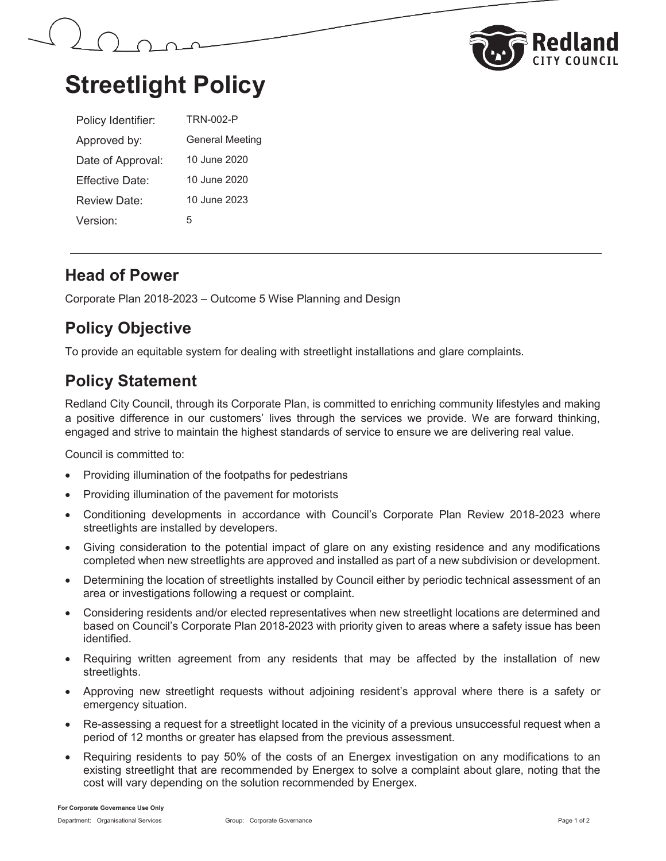



# **Streetlight Policy**

| Policy Identifier: | <b>TRN-002-P</b> |
|--------------------|------------------|
| Approved by:       | General Meeting  |
| Date of Approval:  | 10 June 2020     |
| Fffective Date:    | 10 June 2020     |
| Review Date:       | 10 June 2023     |
| Version:           | 5                |

#### **Head of Power**

Corporate Plan 2018-2023 – Outcome 5 Wise Planning and Design

# **Policy Objective**

To provide an equitable system for dealing with streetlight installations and glare complaints.

## **Policy Statement**

Redland City Council, through its Corporate Plan, is committed to enriching community lifestyles and making a positive difference in our customers' lives through the services we provide. We are forward thinking, engaged and strive to maintain the highest standards of service to ensure we are delivering real value.

Council is committed to:

- Providing illumination of the footpaths for pedestrians
- Providing illumination of the pavement for motorists
- Conditioning developments in accordance with Council's Corporate Plan Review 2018-2023 where streetlights are installed by developers.
- Giving consideration to the potential impact of glare on any existing residence and any modifications completed when new streetlights are approved and installed as part of a new subdivision or development.
- Determining the location of streetlights installed by Council either by periodic technical assessment of an area or investigations following a request or complaint.
- Considering residents and/or elected representatives when new streetlight locations are determined and based on Council's Corporate Plan 2018-2023 with priority given to areas where a safety issue has been identified.
- Requiring written agreement from any residents that may be affected by the installation of new streetlights.
- x Approving new streetlight requests without adjoining resident's approval where there is a safety or emergency situation.
- Re-assessing a request for a streetlight located in the vicinity of a previous unsuccessful request when a period of 12 months or greater has elapsed from the previous assessment.
- x Requiring residents to pay 50% of the costs of an Energex investigation on any modifications to an existing streetlight that are recommended by Energex to solve a complaint about glare, noting that the cost will vary depending on the solution recommended by Energex.